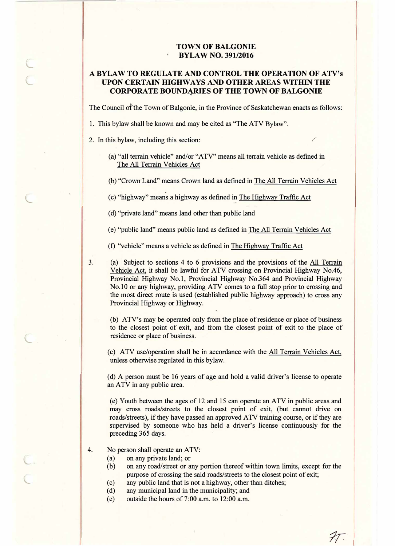## **TOWN OF BALGONIE BYLAW NO. 391/2016**

## **A BYLAW TO REGULATE AND CONTROL THE OPERATION OF ATV's· UPON CERTAIN HIGHWAYS AND OTHER AREAS WITHIN THE CORPORATE BOUNDARIES OF THE TOWN OF BALGONIE**

The Council of the Town of Balgonie, in the Province of Saskatchewan enacts as follows:

1. This bylaw shall be known and may be cited as "The ATV Bylaw".

- 2. In this bylaw, including this section: *(* 
	- (a) "all terrain vehicle" and/or "ATV" means all terrain vehicle as defined in The All Terrain Vehicles Act
	- (b) "Crown Land" means Crown land as defined in The All Terrain Vehicles Act
	- ( c) "highway" means a highway as defined in The Highway Traffic Act
	- ( d) "private land" means land other than public land

(e) "public land" means public land as defined in The All Terrain Vehicles Act

(f) ''vehicle" means a vehicle as defined in The Highway Traffic Act

3.

l..

 $\subset$ 

 $\subset$ 

 $\subset$  .

 $\subset$ 

 $\subset$ 

(a) Subject to sections 4 to 6 provisions and the provisions of the All Terrain Vehicle Act, it shall be lawful for ATV crossing on Provincial Highway No.46, Provincial Highway No.I, Provincial Highway No.364 and Provincial Highway No.IO or any highway, providing ATV comes to a full stop prior to crossing and the most direct route is used ( established public highway approach) to cross any Provincial Highway or Highway.

(b) ATV's may be operated only from the place of residence or place of business to the closest point of exit, and from the closest point of exit to the place of residence or place of business.

(c) ATV use/operation shall be in accordance with the All Terrain Vehicles Act, unless otherwise regulated in this bylaw.

( d) A person must be 16 years of age and hold a valid driver's license to operate an ATV in any public area.

(e) Youth between the ages of 12 and 15 can operate an ATV in public areas and may cross roads/streets to the closest point of exit, (but cannot drive on roads/streets), if they have passed an approved ATV training course, or if they are supervised by someone who has held a driver's license continuously for the preceding 365 days.

- 4. No person shall operate an ATV:
	- (a) on any private land; or
	- (b) on any road/street or any portion thereof within town limits, except for the purpose of crossing the said roads/streets to the closest point of exit;

*1r* 

- (c) any public land that is not a highway, other than ditches;
- (d) any municipal land in the municipality; and
- (e) outside the hours of 7:00 a.m. to 12:00 a.m.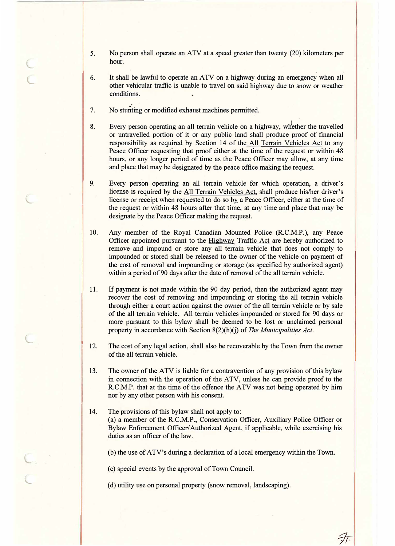- 5. No person shall operate an ATV at a speed greater than twenty (20) kilometers per hour.
- 6. It shall be lawful to operate an ATV on a highway during an emergency when all other vehicular traffic is unable to travel on said highway due to snow or weather conditions.
- 7. No stunting or modified exhaust machines permitted.

 $\epsilon$ 

L

L

L

 $\|$ 

II

L

 $\subset$ 

 $\subset$ 

- 8. Every person operating an all terrain vehicle on a highway, wh�ther the travelled or untravelled portion of it or any public land shall produce proof of financial responsibility as required by Section 14 of the All Terrain Vehicles Act to any Peace Officer requesting that proof either at the time of the request or within 48 hours, or any longer period of time as the Peace Officer may allow, at any time and place that may be designated by the peace office making the request.
- 9. Every person operating an all terrain vehicle for which operation, a driver's license is required by the All Terrain Vehicles Act, shall produce his/her driver's license or receipt when requested to do so by a Peace Officer, either at the time of the request or within 48 hours after that time, at any time and place that may be designate by the Peace Officer making the request.
- 10. Any member of the Royal Canadian Mounted Police (R.C.M.P.), any Peace Officer appointed pursuant to the Highway Traffic Act are hereby authorized to remove and impound or store any all terrain vehicle that does not comply to impounded or stored shall be released to the owner of the vehicle on payment of the cost of removal and impounding or storage (as specified by authorized agent) within a period of 90 days after the date of removal of the all terrain vehicle.
- 11. If payment is not made within the 90 day period, then the authorized agent may recover the cost of removing and impounding or storing the all terrain vehicle through either a court action against the owner of the all terrain vehicle or by sale of the all terrain vehicle. All terrain vehicles impounded or stored for 90 days or more pursuant to this bylaw shall be deemed to be lost or unclaimed personal property in accordance with Section 8(2)(h)(j) of *The Municipalities Act.*
- 12. The cost of any legal action, shall also be recoverable by the Town from the owner of the all terrain vehicle.
- 13. The owner of the ATV is liable for a contravention of any provision of this bylaw in connection with the operation of the ATV, unless he can provide proof to the R.C.M.P. that at the time of the offence the ATV was not being operated by him nor by any other person with his consent.
- 14. The provisions of this bylaw shall not apply to: (a) a member of the R.C.M.P., Conservation Officer, Auxiliary Police Officer or Bylaw Enforcement Officer/ Authorized Agent, if applicable, while exercising his duties as an officer of the law.

(b) the use of ATV's during a declaration of a local emergency within the Town.

*9r-*

( c) special events by the approval of Town Council.

( d) utility use on personal property (snow removal, landscaping).